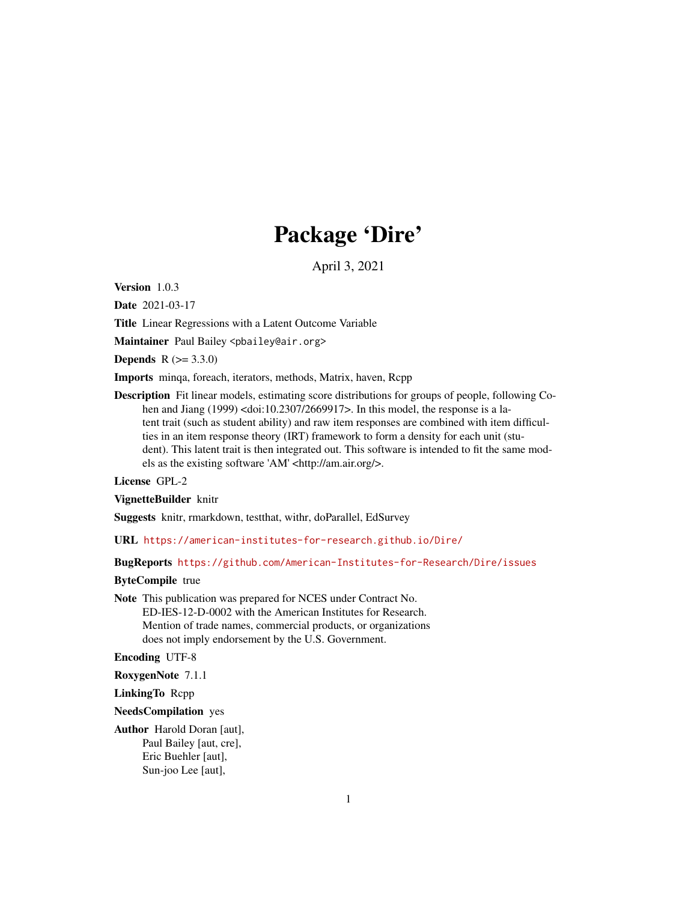## Package 'Dire'

April 3, 2021

Version 1.0.3

Date 2021-03-17

Title Linear Regressions with a Latent Outcome Variable

Maintainer Paul Bailey <pbailey@air.org>

**Depends**  $R (= 3.3.0)$ 

Imports minqa, foreach, iterators, methods, Matrix, haven, Rcpp

Description Fit linear models, estimating score distributions for groups of people, following Cohen and Jiang (1999) <doi:10.2307/2669917>. In this model, the response is a latent trait (such as student ability) and raw item responses are combined with item difficulties in an item response theory (IRT) framework to form a density for each unit (student). This latent trait is then integrated out. This software is intended to fit the same models as the existing software 'AM' <http://am.air.org/>.

#### License GPL-2

VignetteBuilder knitr

Suggests knitr, rmarkdown, testthat, withr, doParallel, EdSurvey

URL <https://american-institutes-for-research.github.io/Dire/>

BugReports <https://github.com/American-Institutes-for-Research/Dire/issues>

#### ByteCompile true

Note This publication was prepared for NCES under Contract No. ED-IES-12-D-0002 with the American Institutes for Research. Mention of trade names, commercial products, or organizations does not imply endorsement by the U.S. Government.

Encoding UTF-8

RoxygenNote 7.1.1

LinkingTo Rcpp

NeedsCompilation yes

Author Harold Doran [aut], Paul Bailey [aut, cre], Eric Buehler [aut], Sun-joo Lee [aut],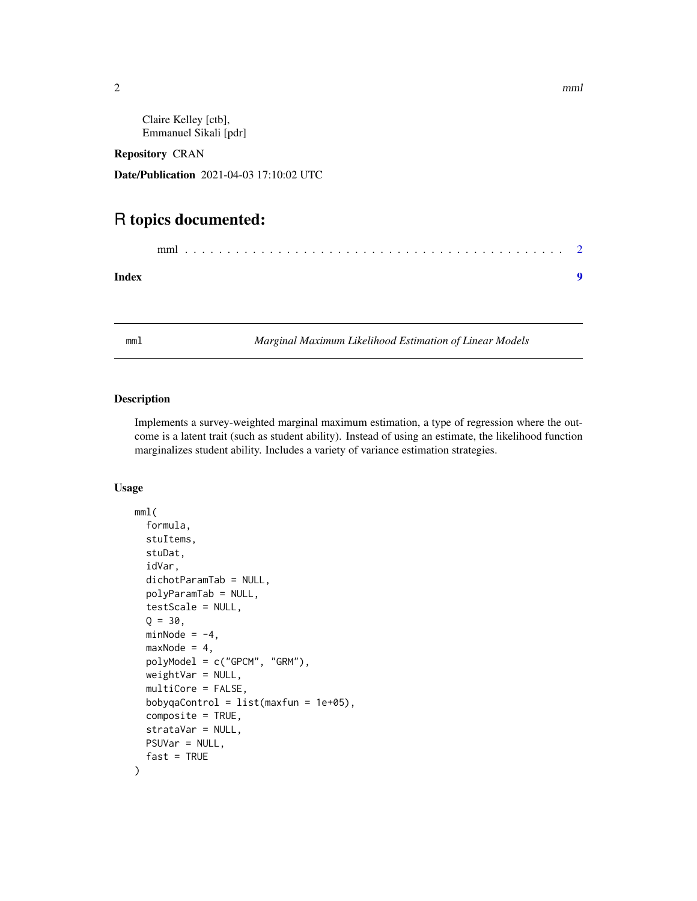Claire Kelley [ctb], Emmanuel Sikali [pdr]

Repository CRAN

Date/Publication 2021-04-03 17:10:02 UTC

### R topics documented:

mml . . . . . . . . . . . . . . . . . . . . . . . . . . . . . . . . . . . . . . . . . . . . . [2](#page-1-0)

**Index** [9](#page-8-0)

mml *Marginal Maximum Likelihood Estimation of Linear Models*

#### Description

Implements a survey-weighted marginal maximum estimation, a type of regression where the outcome is a latent trait (such as student ability). Instead of using an estimate, the likelihood function marginalizes student ability. Includes a variety of variance estimation strategies.

#### Usage

```
mml(
  formula,
  stuItems,
  stuDat,
  idVar,
  dichotParamTab = NULL,
  polyParamTab = NULL,
  testScale = NULL,
  Q = 30,
 minNode = -4,maxNode = 4,
  polyModel = c("GPCM", "GRM"),
  weightVar = NULL,
  multiCore = FALSE,
  bobyqaControl = list(maxfun = 1e+05),
  composite = TRUE,
  strataVar = NULL,
 PSUVar = NULL,
  fast = TRUE)
```
<span id="page-1-0"></span>2 mml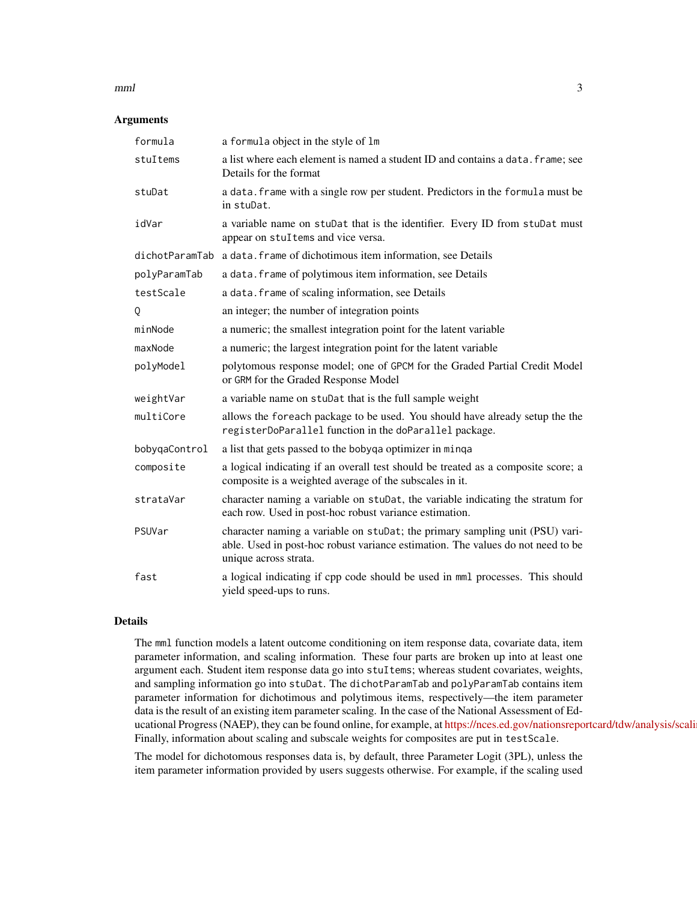#### $mml$  3

#### **Arguments**

| formula       | a formula object in the style of 1m                                                                                                                                                      |
|---------------|------------------------------------------------------------------------------------------------------------------------------------------------------------------------------------------|
| stuItems      | a list where each element is named a student ID and contains a data. frame; see<br>Details for the format                                                                                |
| stuDat        | a data. frame with a single row per student. Predictors in the formula must be<br>in stuDat.                                                                                             |
| idVar         | a variable name on stuDat that is the identifier. Every ID from stuDat must<br>appear on stuItems and vice versa.                                                                        |
|               | dichotParamTab a data. frame of dichotimous item information, see Details                                                                                                                |
| polyParamTab  | a data. frame of polytimous item information, see Details                                                                                                                                |
| testScale     | a data. frame of scaling information, see Details                                                                                                                                        |
| Q             | an integer; the number of integration points                                                                                                                                             |
| minNode       | a numeric; the smallest integration point for the latent variable                                                                                                                        |
| maxNode       | a numeric; the largest integration point for the latent variable                                                                                                                         |
| polyModel     | polytomous response model; one of GPCM for the Graded Partial Credit Model<br>or GRM for the Graded Response Model                                                                       |
| weightVar     | a variable name on stuDat that is the full sample weight                                                                                                                                 |
| multiCore     | allows the foreach package to be used. You should have already setup the the<br>registerDoParallel function in the doParallel package.                                                   |
| bobyqaControl | a list that gets passed to the bobyqa optimizer in minqa                                                                                                                                 |
| composite     | a logical indicating if an overall test should be treated as a composite score; a<br>composite is a weighted average of the subscales in it.                                             |
| strataVar     | character naming a variable on stuDat, the variable indicating the stratum for<br>each row. Used in post-hoc robust variance estimation.                                                 |
| PSUVar        | character naming a variable on stuDat; the primary sampling unit (PSU) vari-<br>able. Used in post-hoc robust variance estimation. The values do not need to be<br>unique across strata. |
| fast          | a logical indicating if cpp code should be used in mml processes. This should<br>yield speed-ups to runs.                                                                                |

#### Details

The mml function models a latent outcome conditioning on item response data, covariate data, item parameter information, and scaling information. These four parts are broken up into at least one argument each. Student item response data go into stuItems; whereas student covariates, weights, and sampling information go into stuDat. The dichotParamTab and polyParamTab contains item parameter information for dichotimous and polytimous items, respectively—the item parameter data is the result of an existing item parameter scaling. In the case of the National Assessment of Educational Progress (NAEP), they can be found online, for example, at https://nces.ed.gov/nationsreportcard/tdw/analysis/scali Finally, information about scaling and subscale weights for composites are put in testScale.

The model for dichotomous responses data is, by default, three Parameter Logit (3PL), unless the item parameter information provided by users suggests otherwise. For example, if the scaling used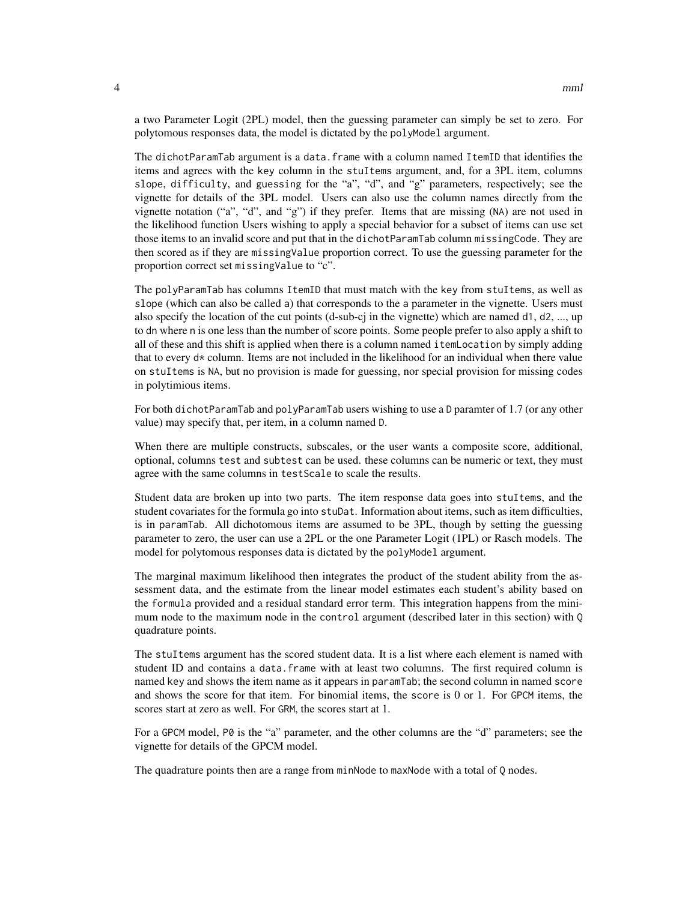a two Parameter Logit (2PL) model, then the guessing parameter can simply be set to zero. For polytomous responses data, the model is dictated by the polyModel argument.

The dichotParamTab argument is a data.frame with a column named ItemID that identifies the items and agrees with the key column in the stuItems argument, and, for a 3PL item, columns slope, difficulty, and guessing for the "a", "d", and "g" parameters, respectively; see the vignette for details of the 3PL model. Users can also use the column names directly from the vignette notation ("a", "d", and "g") if they prefer. Items that are missing (NA) are not used in the likelihood function Users wishing to apply a special behavior for a subset of items can use set those items to an invalid score and put that in the dichotParamTab column missingCode. They are then scored as if they are missingValue proportion correct. To use the guessing parameter for the proportion correct set missingValue to "c".

The polyParamTab has columns ItemID that must match with the key from stuItems, as well as slope (which can also be called a) that corresponds to the a parameter in the vignette. Users must also specify the location of the cut points (d-sub-cj in the vignette) which are named d1, d2, ..., up to dn where n is one less than the number of score points. Some people prefer to also apply a shift to all of these and this shift is applied when there is a column named itemLocation by simply adding that to every  $d*$  column. Items are not included in the likelihood for an individual when there value on stuItems is NA, but no provision is made for guessing, nor special provision for missing codes in polytimious items.

For both dichotParamTab and polyParamTab users wishing to use a D paramter of 1.7 (or any other value) may specify that, per item, in a column named D.

When there are multiple constructs, subscales, or the user wants a composite score, additional, optional, columns test and subtest can be used. these columns can be numeric or text, they must agree with the same columns in testScale to scale the results.

Student data are broken up into two parts. The item response data goes into stuItems, and the student covariates for the formula go into stuDat. Information about items, such as item difficulties, is in paramTab. All dichotomous items are assumed to be 3PL, though by setting the guessing parameter to zero, the user can use a 2PL or the one Parameter Logit (1PL) or Rasch models. The model for polytomous responses data is dictated by the polyModel argument.

The marginal maximum likelihood then integrates the product of the student ability from the assessment data, and the estimate from the linear model estimates each student's ability based on the formula provided and a residual standard error term. This integration happens from the minimum node to the maximum node in the control argument (described later in this section) with Q quadrature points.

The stuItems argument has the scored student data. It is a list where each element is named with student ID and contains a data. frame with at least two columns. The first required column is named key and shows the item name as it appears in paramTab; the second column in named score and shows the score for that item. For binomial items, the score is 0 or 1. For GPCM items, the scores start at zero as well. For GRM, the scores start at 1.

For a GPCM model, P0 is the "a" parameter, and the other columns are the "d" parameters; see the vignette for details of the GPCM model.

The quadrature points then are a range from minNode to maxNode with a total of Q nodes.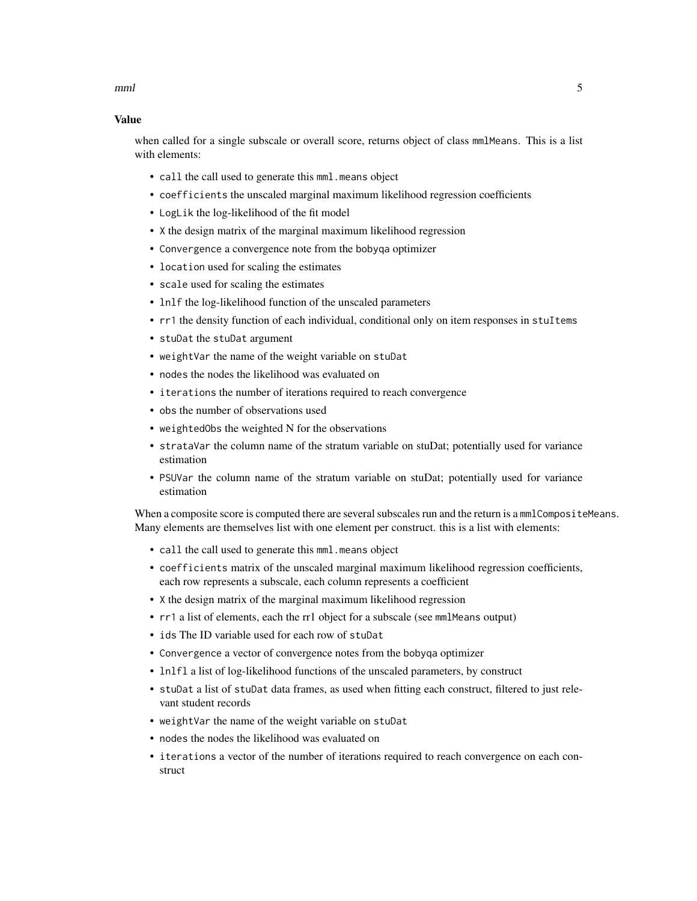$mml$  5

#### Value

when called for a single subscale or overall score, returns object of class mmlMeans. This is a list with elements:

- call the call used to generate this mml.means object
- coefficients the unscaled marginal maximum likelihood regression coefficients
- LogLik the log-likelihood of the fit model
- X the design matrix of the marginal maximum likelihood regression
- Convergence a convergence note from the bobyqa optimizer
- location used for scaling the estimates
- scale used for scaling the estimates
- lnlf the log-likelihood function of the unscaled parameters
- rr1 the density function of each individual, conditional only on item responses in stuItems
- stuDat the stuDat argument
- weightVar the name of the weight variable on stuDat
- nodes the nodes the likelihood was evaluated on
- iterations the number of iterations required to reach convergence
- obs the number of observations used
- weightedObs the weighted N for the observations
- strataVar the column name of the stratum variable on stuDat; potentially used for variance estimation
- PSUVar the column name of the stratum variable on stuDat; potentially used for variance estimation

When a composite score is computed there are several subscales run and the return is a mmlCompositeMeans. Many elements are themselves list with one element per construct. this is a list with elements:

- call the call used to generate this mml.means object
- coefficients matrix of the unscaled marginal maximum likelihood regression coefficients, each row represents a subscale, each column represents a coefficient
- X the design matrix of the marginal maximum likelihood regression
- rr1 a list of elements, each the rr1 object for a subscale (see mmlMeans output)
- ids The ID variable used for each row of stuDat
- Convergence a vector of convergence notes from the bobyqa optimizer
- lnlfl a list of log-likelihood functions of the unscaled parameters, by construct
- stuDat a list of stuDat data frames, as used when fitting each construct, filtered to just relevant student records
- weightVar the name of the weight variable on stuDat
- nodes the nodes the likelihood was evaluated on
- iterations a vector of the number of iterations required to reach convergence on each construct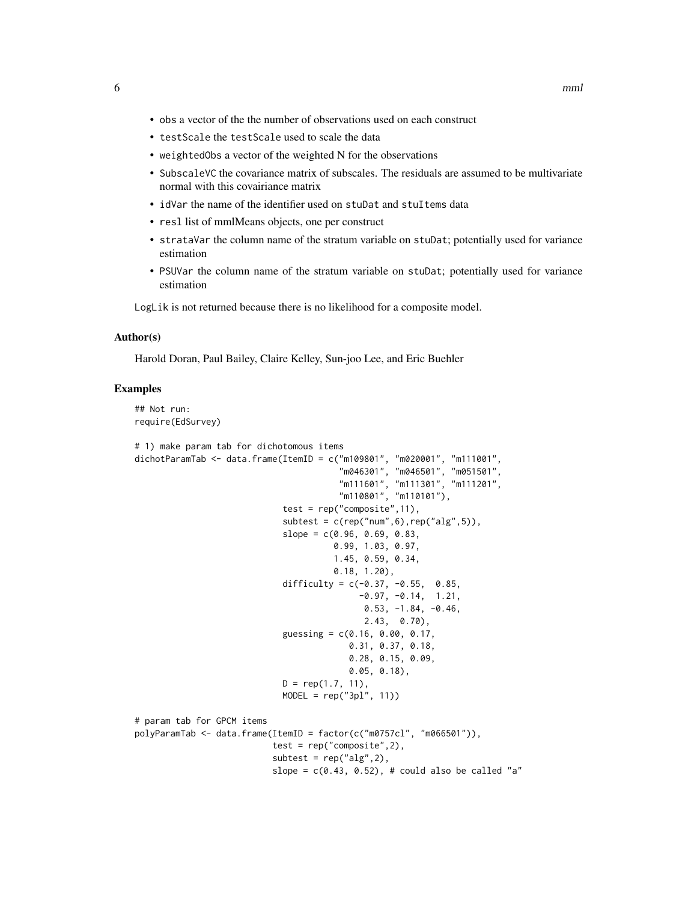- obs a vector of the the number of observations used on each construct
- testScale the testScale used to scale the data
- weightedObs a vector of the weighted N for the observations
- SubscaleVC the covariance matrix of subscales. The residuals are assumed to be multivariate normal with this covairiance matrix
- idVar the name of the identifier used on stuDat and stuItems data
- resl list of mmlMeans objects, one per construct
- strataVar the column name of the stratum variable on stuDat; potentially used for variance estimation
- PSUVar the column name of the stratum variable on stuDat; potentially used for variance estimation

LogLik is not returned because there is no likelihood for a composite model.

#### Author(s)

Harold Doran, Paul Bailey, Claire Kelley, Sun-joo Lee, and Eric Buehler

#### Examples

## Not run: require(EdSurvey)

```
# 1) make param tab for dichotomous items
dichotParamTab <- data.frame(ItemID = c("m109801", "m020001", "m111001",
                                        "m046301", "m046501", "m051501",
                                        "m111601", "m111301", "m111201",
                                        "m110801", "m110101"),
                             test = rep("composite",11),
                             subtest = c(rep("num", 6), rep("alg", 5)),slope = c(0.96, 0.69, 0.83,0.99, 1.03, 0.97,
                                       1.45, 0.59, 0.34,
                                       0.18, 1.20),
                             difficulty = c(-0.37, -0.55, 0.85,-0.97, -0.14, 1.21,0.53, -1.84, -0.46,
                                             2.43, 0.70),
                             guessing = c(0.16, 0.00, 0.17,0.31, 0.37, 0.18,
                                          0.28, 0.15, 0.09,
                                          0.05, 0.18),
                             D = rep(1.7, 11),MODEL = rep("3pl", 11))
# param tab for GPCM items
polyParamTab <- data.frame(ItemID = factor(c("m0757cl", "m066501")),
                           test = rep("composite",2),
                           subtest = rep("alg", 2),slope = c(0.43, 0.52), # could also be called "a"
```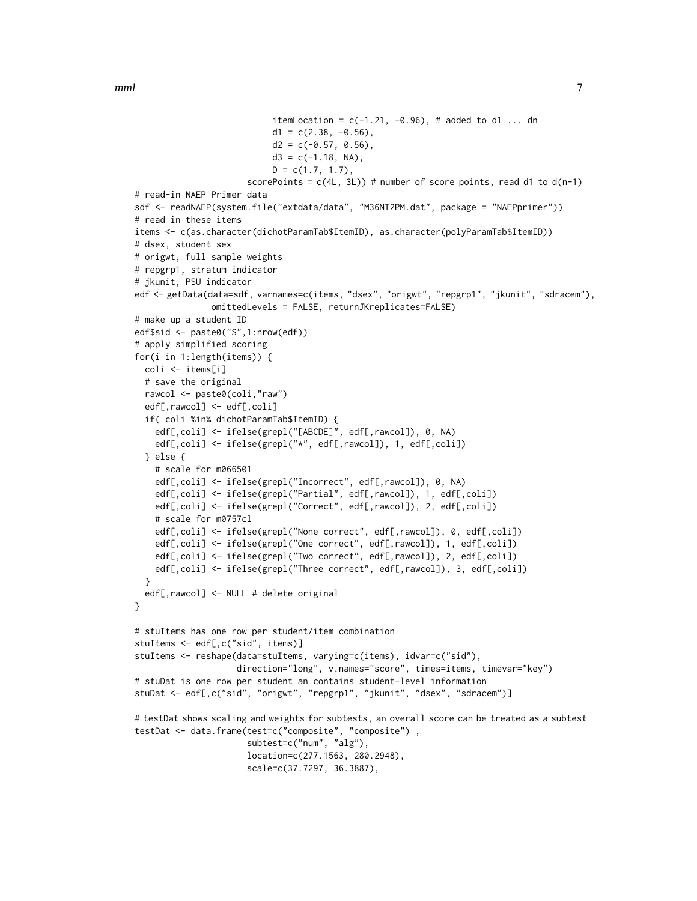$mml$  7

```
itemLocation = c(-1.21, -0.96), # added to d1 ... dn
                           d1 = c(2.38, -0.56),
                           d2 = c(-0.57, 0.56),
                           d3 = c(-1.18, NA),
                           D = c(1.7, 1.7),
                      scorePoints = c(4L, 3L) # number of score points, read d1 to d(n-1)
# read-in NAEP Primer data
sdf <- readNAEP(system.file("extdata/data", "M36NT2PM.dat", package = "NAEPprimer"))
# read in these items
items <- c(as.character(dichotParamTab$ItemID), as.character(polyParamTab$ItemID))
# dsex, student sex
# origwt, full sample weights
# repgrp1, stratum indicator
# jkunit, PSU indicator
edf <- getData(data=sdf, varnames=c(items, "dsex", "origwt", "repgrp1", "jkunit", "sdracem"),
               omittedLevels = FALSE, returnJKreplicates=FALSE)
# make up a student ID
edf$sid <- paste0("S",1:nrow(edf))
# apply simplified scoring
for(i in 1:length(items)) {
 coli <- items[i]
 # save the original
 rawcol <- paste0(coli,"raw")
 edf[,rawcol] <- edf[,coli]
 if( coli %in% dichotParamTab$ItemID) {
    edf[,coli] <- ifelse(grepl("[ABCDE]", edf[,rawcol]), 0, NA)
    edf[,coli] <- ifelse(grepl("*", edf[,rawcol]), 1, edf[,coli])
 } else {
    # scale for m066501
    edf[,coli] <- ifelse(grepl("Incorrect", edf[,rawcol]), 0, NA)
    edf[,coli] <- ifelse(grepl("Partial", edf[,rawcol]), 1, edf[,coli])
    edf[,coli] <- ifelse(grepl("Correct", edf[,rawcol]), 2, edf[,coli])
    # scale for m0757cl
    edf[,coli] <- ifelse(grepl("None correct", edf[,rawcol]), 0, edf[,coli])
   edf[,coli] <- ifelse(grepl("One correct", edf[,rawcol]), 1, edf[,coli])
   edf[,coli] <- ifelse(grepl("Two correct", edf[,rawcol]), 2, edf[,coli])
    edf[,coli] <- ifelse(grepl("Three correct", edf[,rawcol]), 3, edf[,coli])
 }
 edf[,rawcol] <- NULL # delete original
}
# stuItems has one row per student/item combination
stuItems <- edf[,c("sid", items)]
stuItems <- reshape(data=stuItems, varying=c(items), idvar=c("sid"),
                    direction="long", v.names="score", times=items, timevar="key")
# stuDat is one row per student an contains student-level information
stuDat <- edf[,c("sid", "origwt", "repgrp1", "jkunit", "dsex", "sdracem")]
# testDat shows scaling and weights for subtests, an overall score can be treated as a subtest
testDat <- data.frame(test=c("composite", "composite") ,
                      subtest=c("num", "alg"),
                      location=c(277.1563, 280.2948),
                      scale=c(37.7297, 36.3887),
```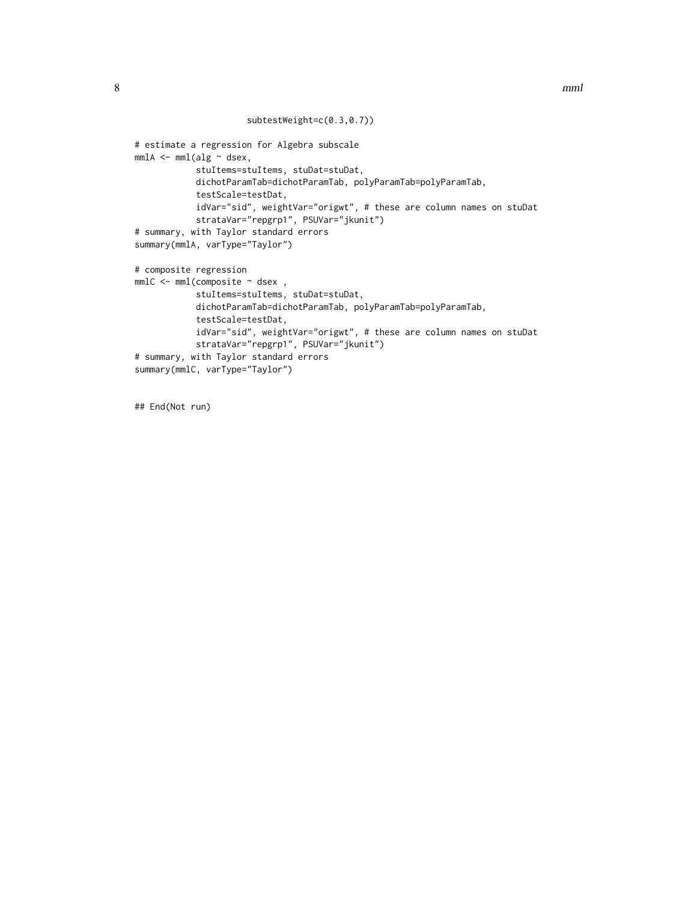```
subtestWeight=c(0.3,0.7))
```

```
# estimate a regression for Algebra subscale
mm1A \leftarrow mm1(alg \sim dsex,stuItems=stuItems, stuDat=stuDat,
            dichotParamTab=dichotParamTab, polyParamTab=polyParamTab,
            testScale=testDat,
            idVar="sid", weightVar="origwt", # these are column names on stuDat
            strataVar="repgrp1", PSUVar="jkunit")
# summary, with Taylor standard errors
summary(mmlA, varType="Taylor")
# composite regression
mmIC < -mml(composite ~ dsex,
            stuItems=stuItems, stuDat=stuDat,
            dichotParamTab=dichotParamTab, polyParamTab=polyParamTab,
            testScale=testDat,
            idVar="sid", weightVar="origwt", # these are column names on stuDat
            strataVar="repgrp1", PSUVar="jkunit")
# summary, with Taylor standard errors
summary(mmlC, varType="Taylor")
```
## End(Not run)